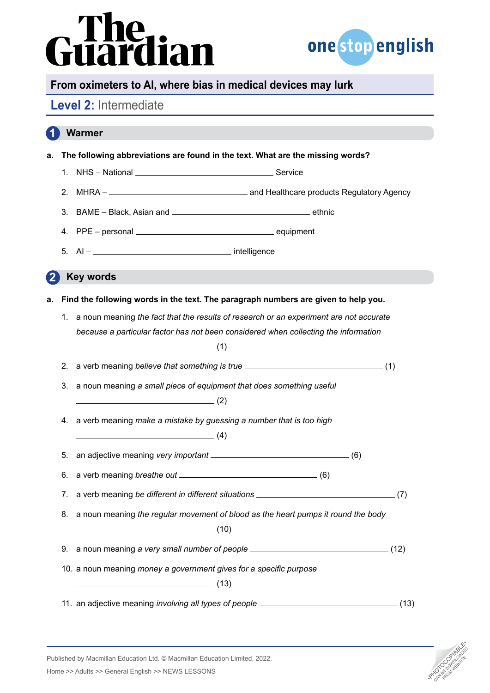# iardian



# **From oximeters to AI, where bias in medical devices may lurk**

# **Level 2:** Intermediate

 **Warmer a. The following abbreviations are found in the text. What are the missing words?** 1. NHS – National Service 2. MHRA – and Healthcare products Regulatory Agency 3. BAME – Black, Asian and ethnic 4. PPE – personal equipment  $5. \quad Al -$  intelligence  **Key words a. Find the following words in the text. The paragraph numbers are given to help you.** 1. a noun meaning *the fact that the results of research or an experiment are not accurate because a particular factor has not been considered when collecting the information*   $\frac{1}{1}$  (1) 2. a verb meaning *believe that something is true* (1) 3. a noun meaning *a small piece of equipment that does something useful*   $\qquad \qquad (2)$ 4. a verb meaning *make a mistake by guessing a number that is too high*   $\sim$  (4) 5. an adjective meaning *very important* <u>[</u>6]  $(6)$ 6. a verb meaning *breathe out* (6) 7. a verb meaning *be different in different situations* \_\_\_\_\_\_\_\_\_\_\_\_\_\_\_\_\_\_\_\_\_\_\_\_\_\_\_\_\_\_\_(7) 8. a noun meaning *the regular movement of blood as the heart pumps it round the body*   $\sim$  (10) 9. a noun meaning a very small number of people \_\_\_\_\_\_\_\_\_\_\_\_\_\_\_\_\_\_\_\_\_\_\_\_\_\_\_\_\_\_\_\_(12) 10. a noun meaning *money a government gives for a specific purpose*   $\sim$  (13) 11. an adjective meaning *involving all types of people* \_\_\_\_\_\_\_\_\_\_\_\_\_\_\_\_\_\_\_\_\_\_\_\_\_\_\_\_\_\_\_\_\_\_(13) **1 2**



Published by Macmillan Education Ltd. © Macmillan Education Limited, 2022.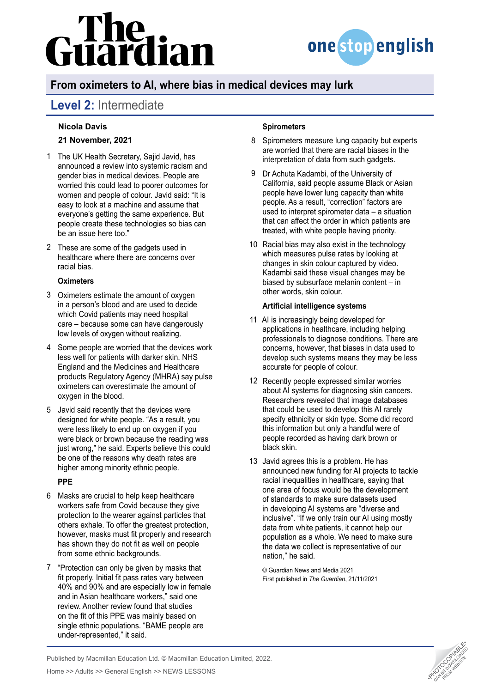# Guardian



# **From oximeters to AI, where bias in medical devices may lurk**

# **Level 2:** Intermediate

### **Nicola Davis**

### **21 November, 2021**

- 1 The UK Health Secretary, Sajid Javid, has announced a review into systemic racism and gender bias in medical devices. People are worried this could lead to poorer outcomes for women and people of colour. Javid said: "It is easy to look at a machine and assume that everyone's getting the same experience. But people create these technologies so bias can be an issue here too."
- These are some of the gadgets used in 2 healthcare where there are concerns over racial bias.

### **Oximeters**

- Oximeters estimate the amount of oxygen 3 in a person's blood and are used to decide which Covid patients may need hospital care – because some can have dangerously low levels of oxygen without realizing.
- 4 Some people are worried that the devices work [less well for patients with darker skin](https://www.bbc.co.uk/news/health-58032842). NHS England and the Medicines and Healthcare products Regulatory Agency (MHRA) say pulse oximeters can [overestimate the amount of](https://www.independent.co.uk/news/health/nhs-blood-oxygen-oximeter-black-asian-b1894424.html)  [oxygen in the blood](https://www.independent.co.uk/news/health/nhs-blood-oxygen-oximeter-black-asian-b1894424.html).
- Javid said recently that the devices were 5 designed for white people. "As a result, you were less likely to end up on oxygen if you were black or brown because the reading was just wrong," he said. Experts believe this [could](https://www.independent.co.uk/news/health/covid-oximeters-death-bame-b1823060.html)  [be one of the reasons](https://www.independent.co.uk/news/health/covid-oximeters-death-bame-b1823060.html) why death rates are higher among minority ethnic people.

### **PPE**

- 6 Masks are crucial to help keep healthcare workers safe from Covid because they give protection to the wearer against particles that others exhale. To offer the greatest protection, however, masks must fit properly and research has shown they do not fit as well on people from some ethnic backgrounds.
- 7 "Protection can only be given by masks that fit properly. Initial fit pass rates vary between 40% and 90% and are especially low in female and in Asian healthcare workers," said one review. Another review found that studies on the fit of this PPE was mainly based on single ethnic populations. "BAME people are under-represented," it said.

### **Spirometers**

- Spirometers measure lung capacity but experts are worried that there are racial biases in the interpretation of data from such gadgets. 8
- Dr Achuta Kadambi, of the University of 9 California, said people assume Black or Asian people have lower lung capacity than white people. As a result, "correction" factors are used to interpret spirometer data – a situation that can affect the order in which patients are treated, with white people having priority.
- 10 Racial bias may also exist in the technology which measures pulse rates by looking at changes in skin colour captured by video. Kadambi said these visual changes may be biased by subsurface melanin content – in other words, skin colour.

### **Artificial intelligence systems**

- 11 AI is increasingly being developed for applications in healthcare, including helping professionals to diagnose conditions. There are concerns, however, that biases in data used to develop such systems means they may be less accurate for people of colour.
- 12 Recently people expressed similar worries about [AI systems for diagnosing skin cancers](https://www.theguardian.com/society/2021/nov/09/ai-skin-cancer-diagnoses-risk-being-less-accurate-for-dark-skin-study). Researchers revealed that image databases that could be used to develop this AI rarely specify ethnicity or skin type. Some did record this information but only a handful were of people recorded as having dark brown or black skin.
- 13 Javid agrees this is a problem. He has [announced new funding for AI projects to tackle](https://www.theguardian.com/technology/2021/oct/20/ai-projects-to-tackle-racial-inequality-in-uk-healthcare-says-javid)  [racial inequalities in healthcare,](https://www.theguardian.com/technology/2021/oct/20/ai-projects-to-tackle-racial-inequality-in-uk-healthcare-says-javid) saying that one area of focus would be the development of standards to make sure datasets used in developing AI systems are "diverse and inclusive". "If we only train our AI using mostly data from white patients, it cannot help our population as a whole. We need to make sure the data we collect is representative of our nation," he said.

© Guardian News and Media 2021 First published in *The Guardian*, 21/11/2021



Published by Macmillan Education Ltd. © Macmillan Education Limited, 2022.